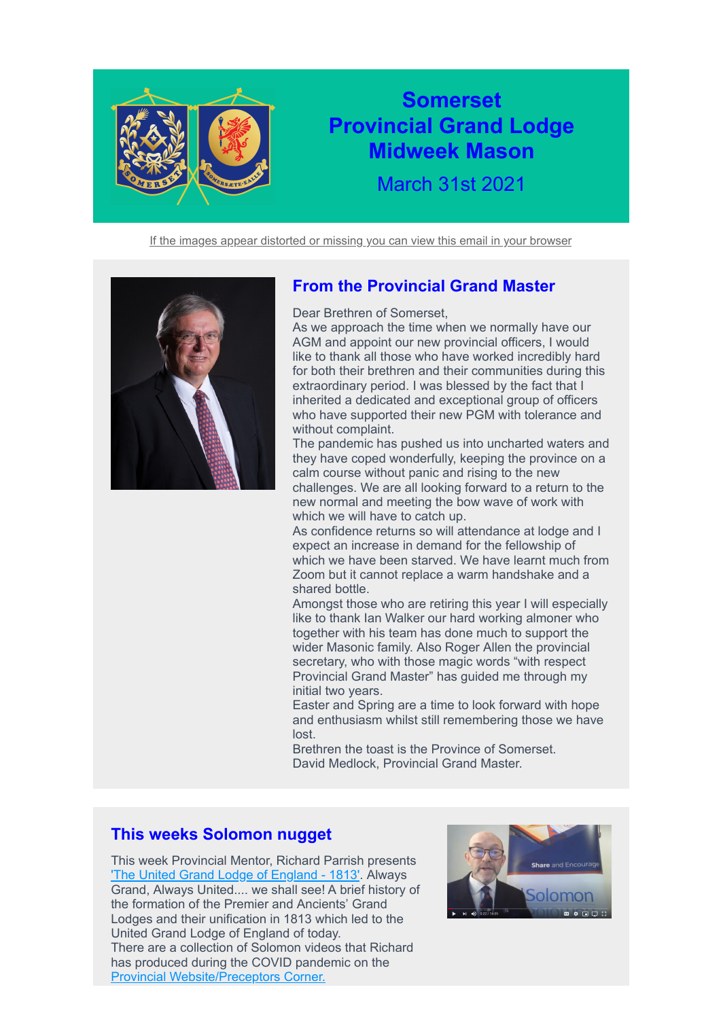

# **Somerset Provincial Grand Lodge Midweek Mason**

March 31st 2021

[If the images appear distorted or missing you can view this email in your browser](https://4b793.r.a.d.sendibm1.com/mk/mr/amc3jJ5n_iAskqxbwi5MSTEs5CRVm_zTik5MX51UrE7pPjtGVU21COnGEAIrvq_-Iq7eR3GfGpM1v6Vn7VNvN420nS4aPl4Pu5u2zcixZgzz)



## **From the Provincial Grand Master**

Dear Brethren of Somerset,

As we approach the time when we normally have our AGM and appoint our new provincial officers, I would like to thank all those who have worked incredibly hard for both their brethren and their communities during this extraordinary period. I was blessed by the fact that I inherited a dedicated and exceptional group of officers who have supported their new PGM with tolerance and without complaint.

The pandemic has pushed us into uncharted waters and they have coped wonderfully, keeping the province on a calm course without panic and rising to the new challenges. We are all looking forward to a return to the new normal and meeting the bow wave of work with which we will have to catch up.

As confidence returns so will attendance at lodge and I expect an increase in demand for the fellowship of which we have been starved. We have learnt much from Zoom but it cannot replace a warm handshake and a shared bottle.

Amongst those who are retiring this year I will especially like to thank Ian Walker our hard working almoner who together with his team has done much to support the wider Masonic family. Also Roger Allen the provincial secretary, who with those magic words "with respect Provincial Grand Master" has guided me through my initial two years.

Easter and Spring are a time to look forward with hope and enthusiasm whilst still remembering those we have lost.

Brethren the toast is the Province of Somerset. David Medlock, Provincial Grand Master.

## **This weeks Solomon nugget**

This week Provincial Mentor, Richard Parrish presents The United Grand Lodge of England - 1813'. Always Grand, Always United.... we shall see! A brief history of the formation of the Premier and Ancients' Grand Lodges and their unification in 1813 which led to the United Grand Lodge of England of today. There are a collection of Solomon videos that Richard has produced during the COVID pandemic on the [Provincial Website/Preceptors Corner.](https://4b793.r.a.d.sendibm1.com/mk/cl/f/AtqPDNEaBJI_q6kf6p9UlruR4oB0nD-RPydEAe8UvYNNe5eEliIgJYJBqIlviXPWOx-nX-FMOB_1zBbNVbz_TmSs6rYLJxZ5mjfFVP7_24jVFa3D_6Nlihe-HidFJtl91l6NcIepaIbZqCmypE7NetPJgnoYM5AHLsdykpn76eYHmd9bimi8tAIQTVF7gdA)

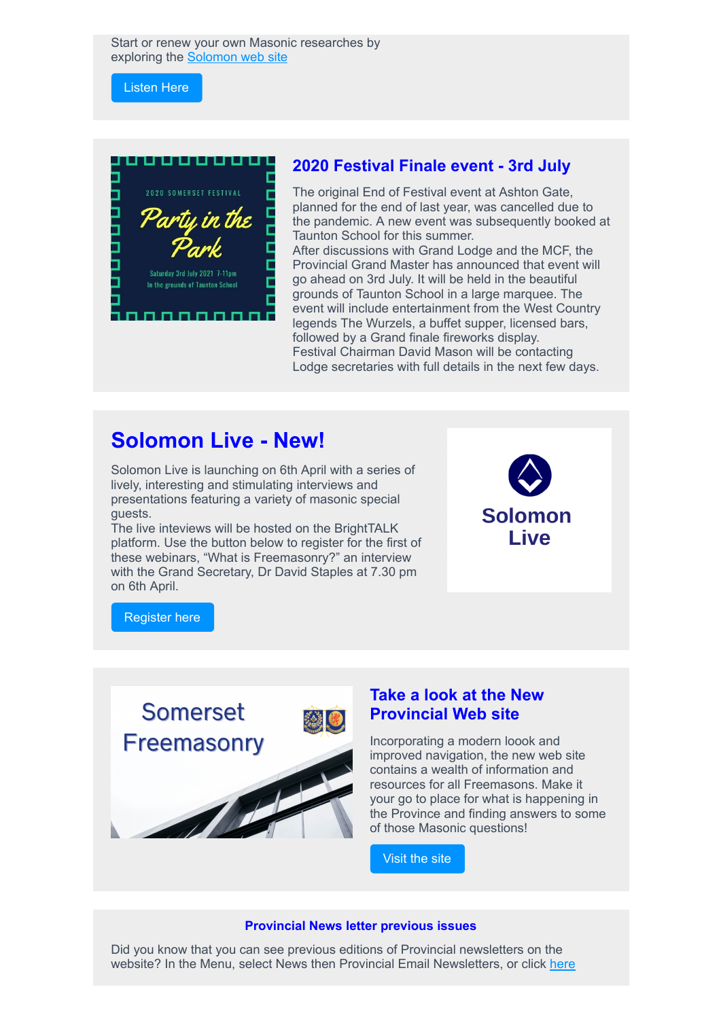Start or renew your own Masonic researches by exploring the [Solomon web site](https://4b793.r.a.d.sendibm1.com/mk/cl/f/Fb77fdASLMqbJ_wUty7PuCy65hzFpNgekfVHzivbh3I19XCB-ek07N2evPU-XllAm_KCXPFfWnCxxA2araUC1g8nK8AxCIqbR9cMbI0PtXNno5RulKsNSEPWDD_QhdtRikBMFCCkpZN0S2t4OD9BFUgSiSLJbLcqtzKb1yQ)

[Listen Here](https://4b793.r.a.d.sendibm1.com/mk/cl/f/t-GsnmqVMqy1JzNfJLgobm-8xIK9r10vwr5u3silkE5eQcw2Ih-feAI9X02s2xSEk77SzyoTUclbgOwjOlRdwqcQ6_VwHmpOY4fTN2fzwzzpQOZ_jhXI4VLVIlfOtUvKPi86xMAvuu8-EZ22WvId-RmrihqjL6TmzOxmiVlHnw5FM0b0wpaMoM3XvD31mhvzOoTj0lDoUtHPR962xZ541Qjv6Pm60ngFwR0XGUfpOahD6gMIWG1qSy5-7EnjA81h4hAby3gpl43ENF_u5zzOAafUI1th9FvZfg)



#### **2020 Festival Finale event - 3rd July**

The original End of Festival event at Ashton Gate, planned for the end of last year, was cancelled due to the pandemic. A new event was subsequently booked at Taunton School for this summer.

After discussions with Grand Lodge and the MCF, the Provincial Grand Master has announced that event will go ahead on 3rd July. It will be held in the beautiful grounds of Taunton School in a large marquee. The event will include entertainment from the West Country legends The Wurzels, a buffet supper, licensed bars, followed by a Grand finale fireworks display. Festival Chairman David Mason will be contacting Lodge secretaries with full details in the next few days.

## **Solomon Live - New!**

Solomon Live is launching on 6th April with a series of lively, interesting and stimulating interviews and presentations featuring a variety of masonic special guests.

The live inteviews will be hosted on the BrightTALK platform. Use the button below to register for the first of these webinars, "What is Freemasonry?" an interview with the Grand Secretary, Dr David Staples at 7.30 pm on 6th April.



[Register here](https://4b793.r.a.d.sendibm1.com/mk/cl/f/uiT3DLlNVdmXw7C8MYQEkcQnODDpWFs2bWnynlBMznrFfRKTlskBYEqZmqJHt78w3tZU_e5fNB03_D2Lr_rJEp0bwSv5IahwAo_0aMd3MjRFFMH1mvkj53Gzv8puCfIgc-08sCQIRuxFOqBDh7N-ZOHn6VODKjKGtGJGXBPuENbtuH9qc0lQLvjeTvRD9xdlsiP1zHIH-RwHTUKKUHKUs0VnfGvGCfn4B_t9E9JQwhBmaoRqrQQvGRgnCKEZ71E6IKyQ5728tgOlt2gU-yjZ81A25yPZVSmTaxr88exWruN6BLU7T4F-F8CFqqEGl2lQfe-L-x9OzYqDhYEbLUV6)



### **Take a look at the New Provincial Web site**

Incorporating a modern loook and improved navigation, the new web site contains a wealth of information and resources for all Freemasons. Make it your go to place for what is happening in the Province and finding answers to some of those Masonic questions!

[Visit the site](https://4b793.r.a.d.sendibm1.com/mk/cl/f/lzCxV4VxBUF7hWAE1-6RI-__2hSXjZEGjqD7h6ADuYveKErNc_HSC4iUNnceES2S9Es3c7k2yEdGAteweDLQtQUb2u-hAU7K_5FVjSpHG9INexGqmyU0uzpBFqttjNRkyXV4xd_XExusa7kUAjc6lyL0S6Gy90h3eg)

#### **Provincial News letter previous issues**

Did you know that you can see previous editions of Provincial newsletters on the website? In the Menu, select News then Provincial Email Newsletters, or click [here](https://4b793.r.a.d.sendibm1.com/mk/cl/f/MoMHv3mBuDSGHfUHKeAogoeiawHRFzErV-MFtIWB5VVBD73zO4ng9LZtBPu34PZaN-PlHLVD_kHRp8AyC0FtcLdYdxEM_Dz_aif8-FINKXu1gxLRO38Yj57uKdiYwXq0p5MMJJibZogEtvP4H8LwxCCJDFIKEccwR0qqac9Vt8wZPtCrLnqE-nospozfRjUqjEoSGwtNzsGQp4c)